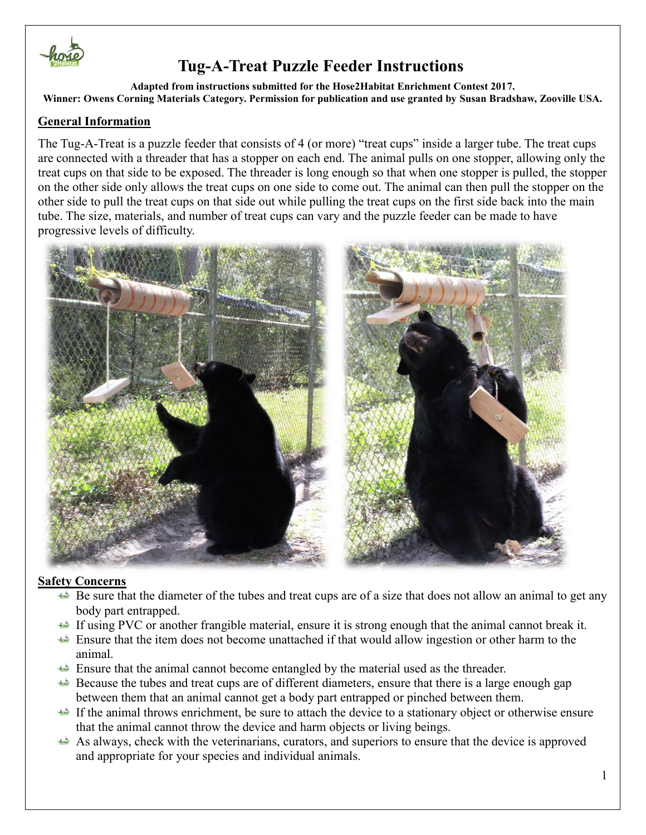

**Adapted from instructions submitted for the Hose2Habitat Enrichment Contest 2017. Winner: Owens Corning Materials Category. Permission for publication and use granted by Susan Bradshaw, Zooville USA.**

### **General Information**

The Tug-A-Treat is a puzzle feeder that consists of 4 (or more) "treat cups" inside a larger tube. The treat cups are connected with a threader that has a stopper on each end. The animal pulls on one stopper, allowing only the treat cups on that side to be exposed. The threader is long enough so that when one stopper is pulled, the stopper on the other side only allows the treat cups on one side to come out. The animal can then pull the stopper on the other side to pull the treat cups on that side out while pulling the treat cups on the first side back into the main tube. The size, materials, and number of treat cups can vary and the puzzle feeder can be made to have progressive levels of difficulty.



### **Safety Concerns**

- Be sure that the diameter of the tubes and treat cups are of a size that does not allow an animal to get any body part entrapped.
- If using PVC or another frangible material, ensure it is strong enough that the animal cannot break it.
- Ensure that the item does not become unattached if that would allow ingestion or other harm to the animal.
- Ensure that the animal cannot become entangled by the material used as the threader.
- Because the tubes and treat cups are of different diameters, ensure that there is a large enough gap between them that an animal cannot get a body part entrapped or pinched between them.
- If the animal throws enrichment, be sure to attach the device to a stationary object or otherwise ensure that the animal cannot throw the device and harm objects or living beings.
- As always, check with the veterinarians, curators, and superiors to ensure that the device is approved and appropriate for your species and individual animals.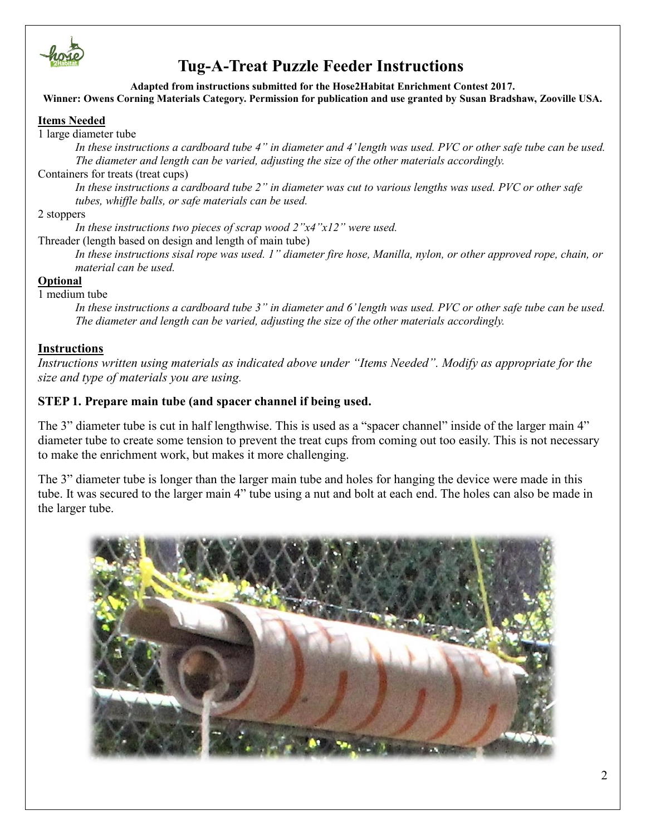

#### **Adapted from instructions submitted for the Hose2Habitat Enrichment Contest 2017. Winner: Owens Corning Materials Category. Permission for publication and use granted by Susan Bradshaw, Zooville USA.**

#### **Items Needed**

1 large diameter tube

*In these instructions a cardboard tube 4" in diameter and 4' length was used. PVC or other safe tube can be used. The diameter and length can be varied, adjusting the size of the other materials accordingly.*

#### Containers for treats (treat cups)

*In these instructions a cardboard tube 2" in diameter was cut to various lengths was used. PVC or other safe tubes, whiffle balls, or safe materials can be used.* 

#### 2 stoppers

*In these instructions two pieces of scrap wood 2"x4"x12" were used.*

Threader (length based on design and length of main tube)

*In these instructions sisal rope was used. 1" diameter fire hose, Manilla, nylon, or other approved rope, chain, or material can be used.*

#### **Optional**

#### 1 medium tube

*In these instructions a cardboard tube 3" in diameter and 6' length was used. PVC or other safe tube can be used. The diameter and length can be varied, adjusting the size of the other materials accordingly.*

#### **Instructions**

*Instructions written using materials as indicated above under "Items Needed". Modify as appropriate for the size and type of materials you are using.*

### **STEP 1. Prepare main tube (and spacer channel if being used.**

The 3" diameter tube is cut in half lengthwise. This is used as a "spacer channel" inside of the larger main 4" diameter tube to create some tension to prevent the treat cups from coming out too easily. This is not necessary to make the enrichment work, but makes it more challenging.

The 3" diameter tube is longer than the larger main tube and holes for hanging the device were made in this tube. It was secured to the larger main 4" tube using a nut and bolt at each end. The holes can also be made in the larger tube.

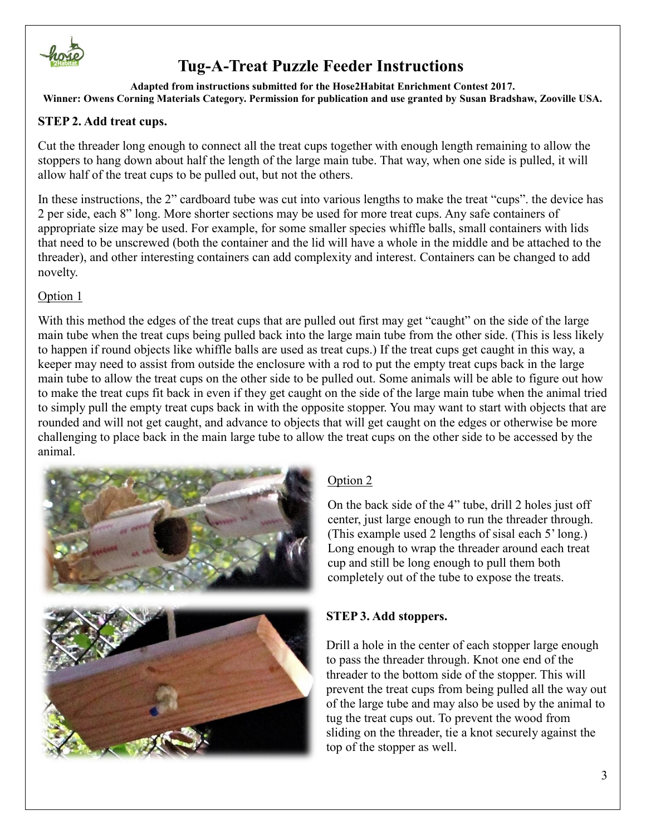

**Adapted from instructions submitted for the Hose2Habitat Enrichment Contest 2017. Winner: Owens Corning Materials Category. Permission for publication and use granted by Susan Bradshaw, Zooville USA.**

## **STEP 2. Add treat cups.**

Cut the threader long enough to connect all the treat cups together with enough length remaining to allow the stoppers to hang down about half the length of the large main tube. That way, when one side is pulled, it will allow half of the treat cups to be pulled out, but not the others.

In these instructions, the 2" cardboard tube was cut into various lengths to make the treat "cups". the device has 2 per side, each 8" long. More shorter sections may be used for more treat cups. Any safe containers of appropriate size may be used. For example, for some smaller species whiffle balls, small containers with lids that need to be unscrewed (both the container and the lid will have a whole in the middle and be attached to the threader), and other interesting containers can add complexity and interest. Containers can be changed to add novelty.

### Option 1

With this method the edges of the treat cups that are pulled out first may get "caught" on the side of the large main tube when the treat cups being pulled back into the large main tube from the other side. (This is less likely to happen if round objects like whiffle balls are used as treat cups.) If the treat cups get caught in this way, a keeper may need to assist from outside the enclosure with a rod to put the empty treat cups back in the large main tube to allow the treat cups on the other side to be pulled out. Some animals will be able to figure out how to make the treat cups fit back in even if they get caught on the side of the large main tube when the animal tried to simply pull the empty treat cups back in with the opposite stopper. You may want to start with objects that are rounded and will not get caught, and advance to objects that will get caught on the edges or otherwise be more challenging to place back in the main large tube to allow the treat cups on the other side to be accessed by the animal.



## Option 2

On the back side of the 4" tube, drill 2 holes just off center, just large enough to run the threader through. (This example used 2 lengths of sisal each 5' long.) Long enough to wrap the threader around each treat cup and still be long enough to pull them both completely out of the tube to expose the treats.

## **STEP 3. Add stoppers.**

Drill a hole in the center of each stopper large enough to pass the threader through. Knot one end of the threader to the bottom side of the stopper. This will prevent the treat cups from being pulled all the way out of the large tube and may also be used by the animal to tug the treat cups out. To prevent the wood from sliding on the threader, tie a knot securely against the top of the stopper as well.